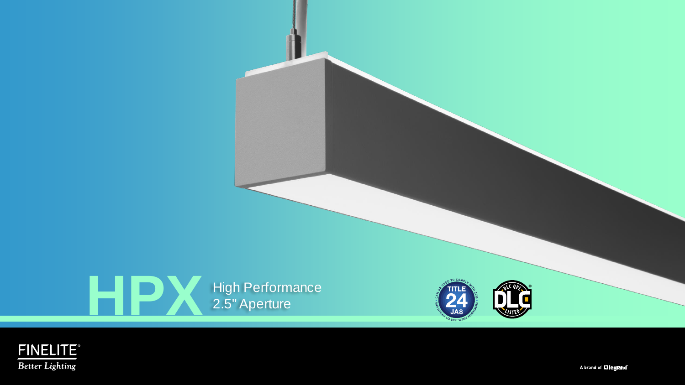

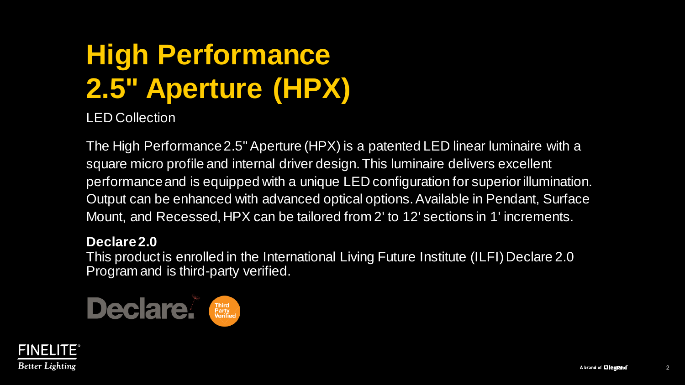# **High Performance 2.5" Aperture (HPX)**

LED Collection

The High Performance 2.5" Aperture (HPX) is a patented LED linear luminaire with a square micro profile and internal driver design. This luminaire delivers excellent performance and is equipped with a unique LED configuration for superior illumination. Output can be enhanced with advanced optical options. Available in Pendant, Surface Mount, and Recessed, HPX can be tailored from 2' to 12' sections in 1' increments.

#### **Declare 2.0**

This product is enrolled in the International Living Future Institute (ILFI) Declare 2.0 Program and is third-party verified.



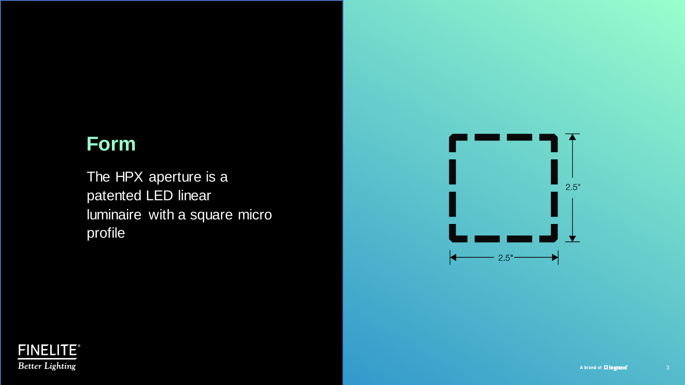## **Form**

The HPX aperture is a patented LED linear luminaire with a square micro profile



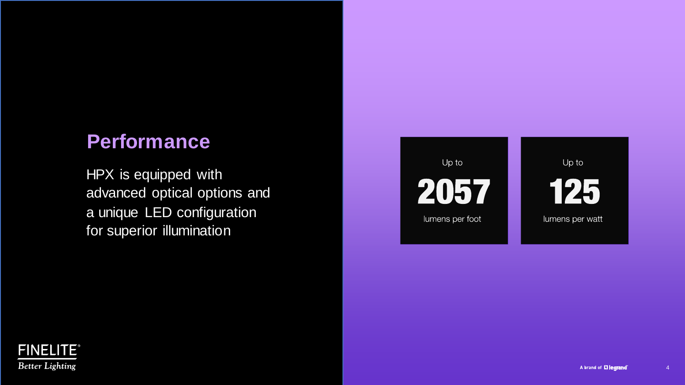## **Performance**

HPX is equipped with advanced optical options and a unique LED configuration for superior illumination



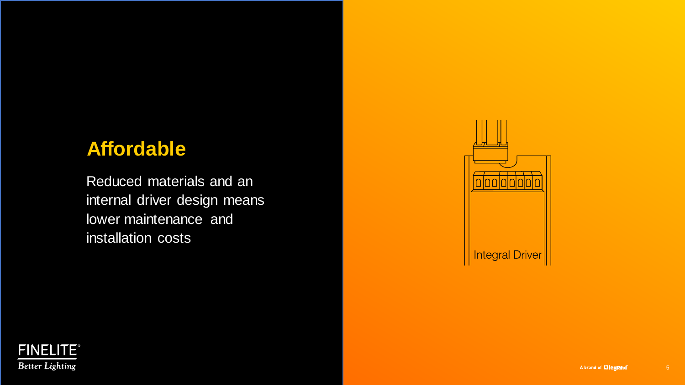## **Affordable**

Reduced materials and an internal driver design means lower maintenance and installation costs





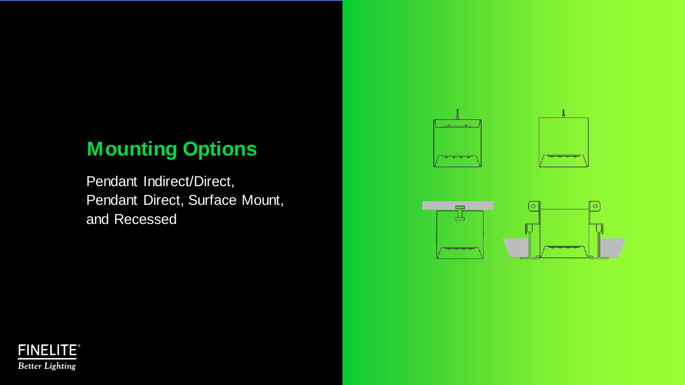# **Mounting Options**

Pendant Indirect/Direct, Pendant Direct, Surface Mount, and Recessed





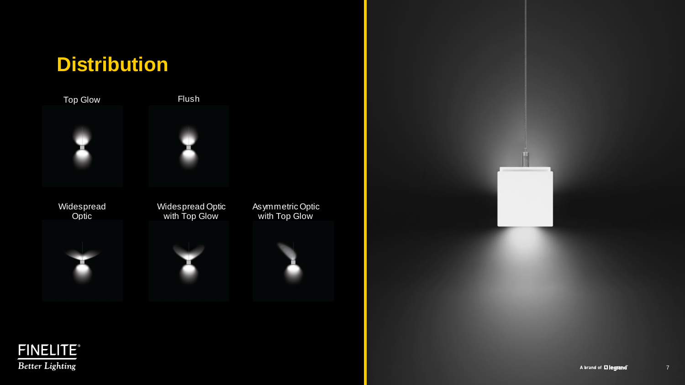# **Distribution**

Top Glow Flush











Asymmetric Optic with Top Glow



**FINELITE® Better Lighting**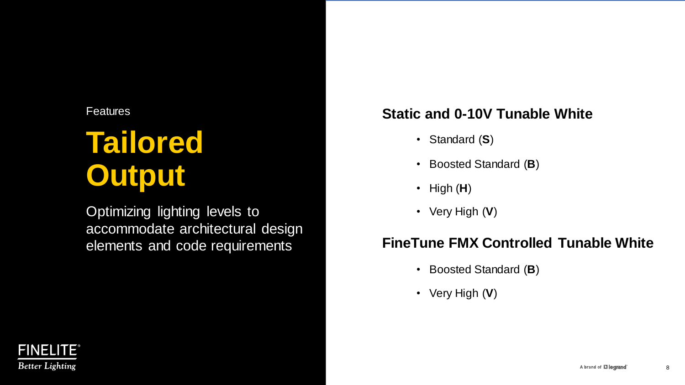# **Tailored Output**

Optimizing lighting levels to accommodate architectural design elements and code requirements

### **Static and 0-10V Tunable White**

- Standard (**S**)
- Boosted Standard (**B**)
- High (**H**)
- Very High (**V**)

### **FineTune FMX Controlled Tunable White**

- Boosted Standard (**B**)
- Very High (**V**)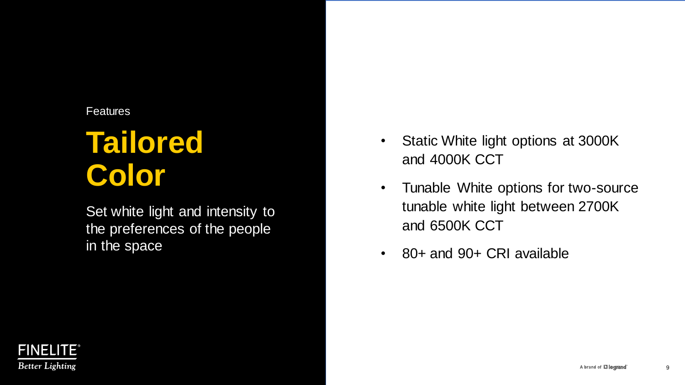# **Tailored Color**

Set white light and intensity to the preferences of the people in the space

- Static White light options at 3000K and 4000K CCT
- Tunable White options for two-source tunable white light between 2700K and 6500K CCT
- 80+ and 90+ CRI available

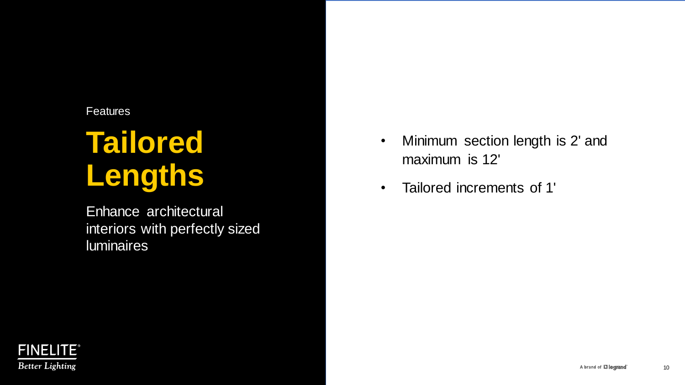# **Tailored Lengths**

Enhance architectural interiors with perfectly sized luminaires

- Minimum section length is 2' and maximum is 12'
- Tailored increments of 1'

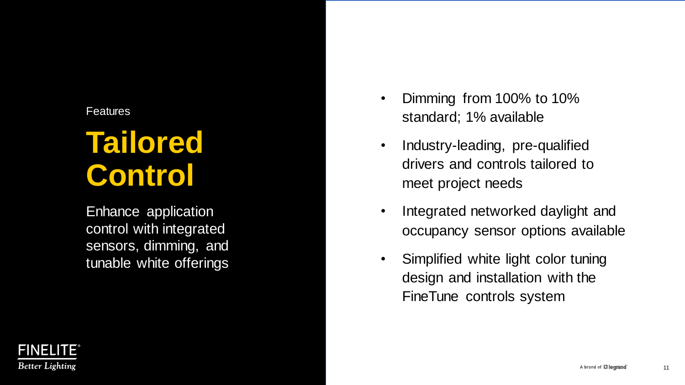# **Tailored Control**

Enhance application control with integrated sensors, dimming, and tunable white offerings

- Dimming from 100% to 10% standard; 1% available
- Industry-leading, pre-qualified drivers and controls tailored to meet project needs
- Integrated networked daylight and occupancy sensor options available
- Simplified white light color tuning design and installation with the FineTune controls system

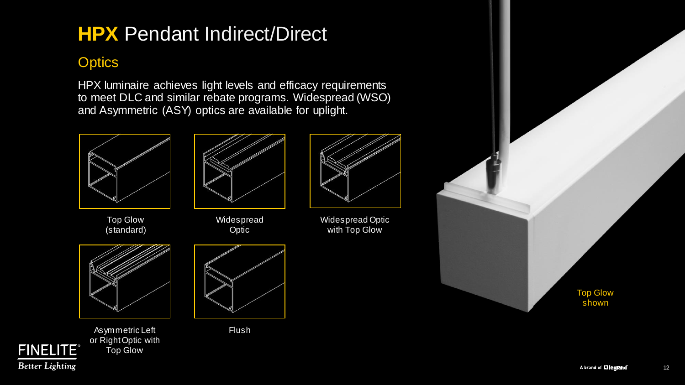## **HPX** Pendant Indirect/Direct

### **Optics**

HPX luminaire achieves light levels and efficacy requirements to meet DLC and similar rebate programs. Widespread (WSO) and Asymmetric (ASY) optics are available for uplight.



Widespread Optic



Widespread Optic with Top Glow



Asymmetric Left Flush or Right Optic with Top Glow

**FINELITE® Better Lighting** 





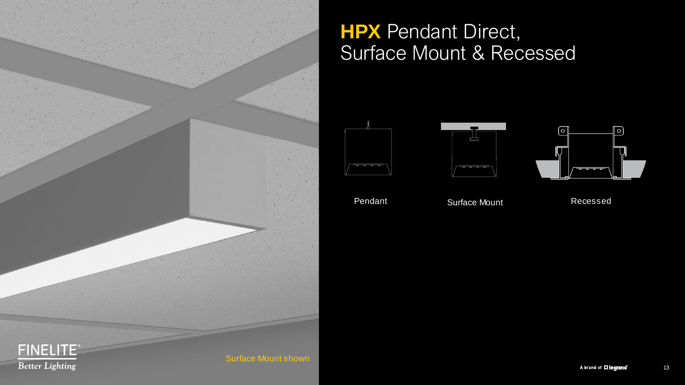

## **HPX** Pendant Direct, Surface Mount & Recessed







Pendant Surface Mount Recessed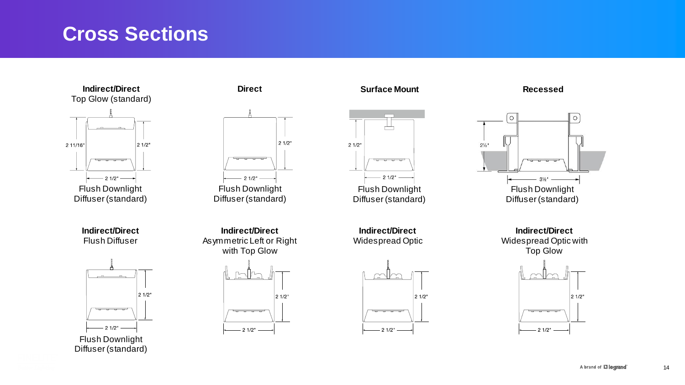## **Cross Sections**



**Indirect/Direct** Flush Diffuser



**Direct**



**Indirect/Direct** Asymmetric Left or Right with Top Glow



**Surface Mount**





**Indirect/Direct** Widespread Optic







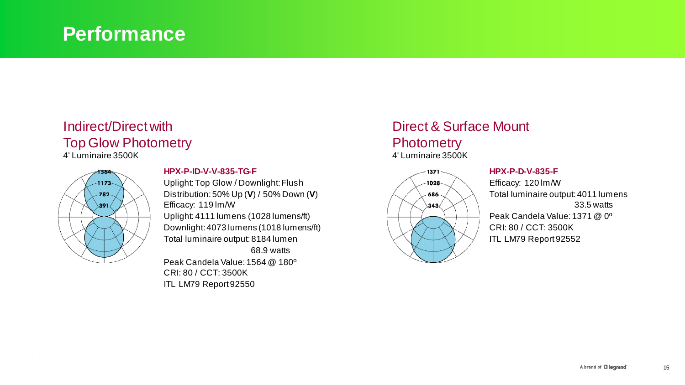### **Performance**

### Indirect/Direct with Top Glow Photometry

4' Luminaire 3500K



#### **HPX-P-ID-V-V-835-TG-F**

Uplight: Top Glow / Downlight: Flush Distribution: 50% Up (**V**) / 50% Down (**V**) Efficacy: 119 lm/W Uplight: 4111 lumens (1028 lumens/ft) Downlight: 4073 lumens (1018 lumens/ft) Total luminaire output: 8184 lumen 68.9 watts Peak Candela Value: 1564 @ 180º CRI: 80 / CCT: 3500K

ITL LM79 Report 92550

#### Direct & Surface Mount **Photometry** 4' Luminaire 3500K



#### **HPX-P-D-V-835-F**

Efficacy: 120 lm/W Total luminaire output: 4011 lumens 33.5 watts Peak Candela Value: 1371 @ 0º CRI: 80 / CCT: 3500K ITL LM79 Report 92552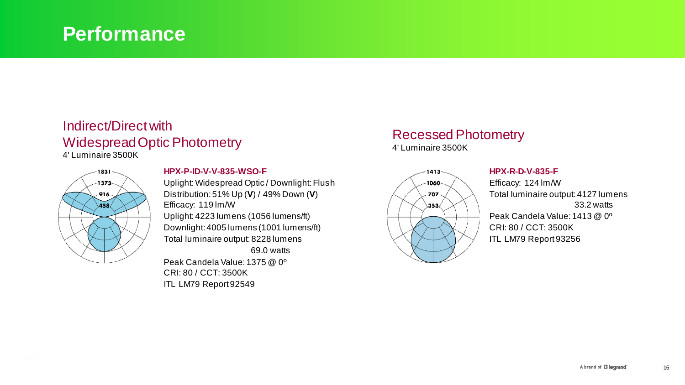### **Performance**

### Indirect/Direct with Widespread Optic Photometry

4' Luminaire 3500K



#### **HPX-P-ID-V-V-835-WSO-F**

Uplight: Widespread Optic / Downlight: Flush Distribution: 51% Up (**V**) / 49% Down (**V**) Efficacy: 119 lm/W Uplight: 4223 lumens (1056 lumens/ft) Downlight: 4005 lumens (1001 lumens/ft) Total luminaire output: 8228 lumens 69.0 watts Peak Candela Value: 1375 @ 0º

CRI: 80 / CCT: 3500K ITL LM79 Report 92549

### Recessed Photometry

4' Luminaire 3500K



#### **HPX-R-D-V-835-F**

Efficacy: 124 lm/W Total luminaire output: 4127 lumens 33.2 watts Peak Candela Value: 1413 @ 0º CRI: 80 / CCT: 3500K ITL LM79 Report 93256